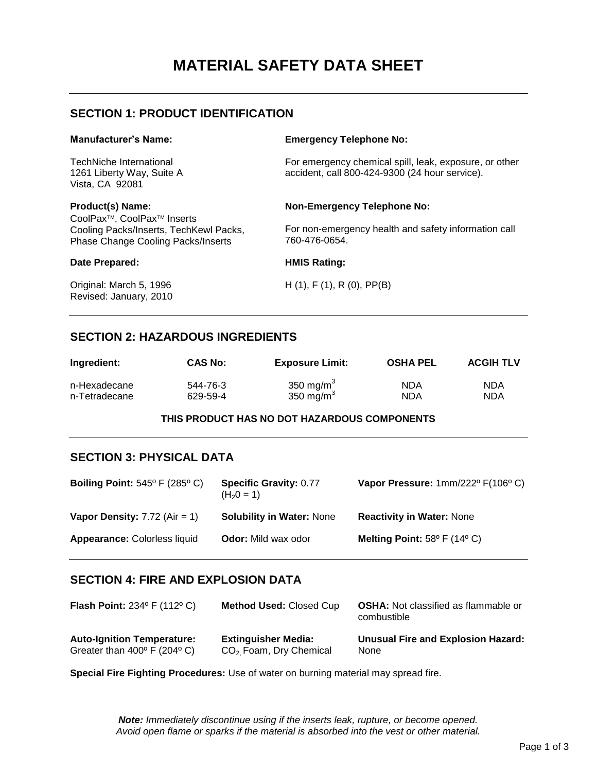# **MATERIAL SAFETY DATA SHEET**

### **SECTION 1: PRODUCT IDENTIFICATION**

| <b>Manufacturer's Name:</b>                                                         | <b>Emergency Telephone No:</b>                                                                           |
|-------------------------------------------------------------------------------------|----------------------------------------------------------------------------------------------------------|
| TechNiche International<br>1261 Liberty Way, Suite A<br>Vista, CA 92081             | For emergency chemical spill, leak, exposure, or other<br>accident, call 800-424-9300 (24 hour service). |
| <b>Product(s) Name:</b><br>CoolPax <sup>™</sup> , CoolPax <sup>™</sup> Inserts      | <b>Non-Emergency Telephone No:</b>                                                                       |
| Cooling Packs/Inserts, TechKewl Packs,<br><b>Phase Change Cooling Packs/Inserts</b> | For non-emergency health and safety information call<br>760-476-0654.                                    |
| Date Prepared:                                                                      | <b>HMIS Rating:</b>                                                                                      |
| Original: March 5, 1996<br>Revised: January, 2010                                   | $H(1)$ , F $(1)$ , R $(0)$ , PP $(B)$                                                                    |

#### **SECTION 2: HAZARDOUS INGREDIENTS**

| Ingredient:   | <b>CAS No:</b> | <b>Exposure Limit:</b> | <b>OSHA PEL</b> | <b>ACGIH TLV</b> |
|---------------|----------------|------------------------|-----------------|------------------|
| n-Hexadecane  | 544-76-3       | 350 mg/m $3$           | <b>NDA</b>      | <b>NDA</b>       |
| n-Tetradecane | 629-59-4       | 350 mg/m $3$           | <b>NDA</b>      | NDA              |

#### **THIS PRODUCT HAS NO DOT HAZARDOUS COMPONENTS**

#### **SECTION 3: PHYSICAL DATA**

| Boiling Point: $545^{\circ}$ F (285 $^{\circ}$ C) | <b>Specific Gravity: 0.77</b><br>$(H20 = 1)$ | Vapor Pressure: 1mm/222º F(106º C)              |
|---------------------------------------------------|----------------------------------------------|-------------------------------------------------|
| Vapor Density: $7.72$ (Air = 1)                   | <b>Solubility in Water: None</b>             | <b>Reactivity in Water: None</b>                |
| <b>Appearance: Colorless liquid</b>               | <b>Odor:</b> Mild wax odor                   | Melting Point: $58^{\circ}$ F (14 $^{\circ}$ C) |

#### **SECTION 4: FIRE AND EXPLOSION DATA**

| <b>Flash Point:</b> 234 $^{\circ}$ F (112 $^{\circ}$ C) | <b>Method Used: Closed Cup</b> | <b>OSHA:</b> Not classified as flammable or<br>combustible |
|---------------------------------------------------------|--------------------------------|------------------------------------------------------------|
| <b>Auto-Ignition Temperature:</b>                       | <b>Extinguisher Media:</b>     | <b>Unusual Fire and Explosion Hazard:</b>                  |
| Greater than $400^{\circ}$ F (204 $^{\circ}$ C)         | $CO2$ Foam, Dry Chemical       | None                                                       |

**Special Fire Fighting Procedures:** Use of water on burning material may spread fire.

*Note: Immediately discontinue using if the inserts leak, rupture, or become opened. Avoid open flame or sparks if the material is absorbed into the vest or other material.*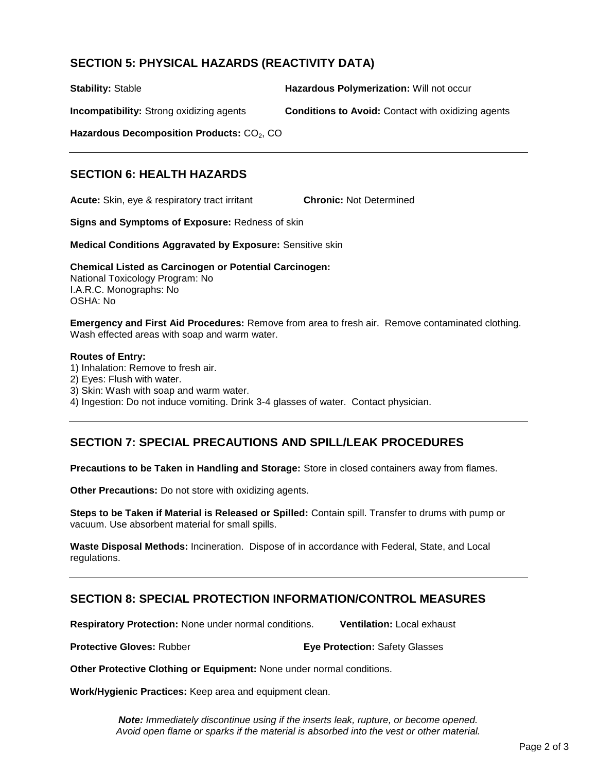# **SECTION 5: PHYSICAL HAZARDS (REACTIVITY DATA)**

**Stability:** Stable **Hazardous Polymerization:** Will not occur

**Incompatibility:** Strong oxidizing agents **Conditions to Avoid:** Contact with oxidizing agents

**Hazardous Decomposition Products: CO<sub>2</sub>, CO** 

# **SECTION 6: HEALTH HAZARDS**

**Acute:** Skin, eye & respiratory tract irritant **Chronic:** Not Determined

**Signs and Symptoms of Exposure:** Redness of skin

**Medical Conditions Aggravated by Exposure:** Sensitive skin

**Chemical Listed as Carcinogen or Potential Carcinogen:**  National Toxicology Program: No I.A.R.C. Monographs: No OSHA: No

**Emergency and First Aid Procedures:** Remove from area to fresh air. Remove contaminated clothing. Wash effected areas with soap and warm water.

#### **Routes of Entry:**

- 1) Inhalation: Remove to fresh air.
- 2) Eyes: Flush with water.
- 3) Skin: Wash with soap and warm water.
- 4) Ingestion: Do not induce vomiting. Drink 3-4 glasses of water. Contact physician.

# **SECTION 7: SPECIAL PRECAUTIONS AND SPILL/LEAK PROCEDURES**

**Precautions to be Taken in Handling and Storage:** Store in closed containers away from flames.

**Other Precautions:** Do not store with oxidizing agents.

**Steps to be Taken if Material is Released or Spilled:** Contain spill. Transfer to drums with pump or vacuum. Use absorbent material for small spills.

**Waste Disposal Methods:** Incineration. Dispose of in accordance with Federal, State, and Local regulations.

#### **SECTION 8: SPECIAL PROTECTION INFORMATION/CONTROL MEASURES**

**Respiratory Protection:** None under normal conditions. **Ventilation:** Local exhaust

**Protective Gloves:** Rubber **Eye Protection:** Safety Glasses

**Other Protective Clothing or Equipment:** None under normal conditions.

**Work/Hygienic Practices:** Keep area and equipment clean.

*Note: Immediately discontinue using if the inserts leak, rupture, or become opened. Avoid open flame or sparks if the material is absorbed into the vest or other material.*